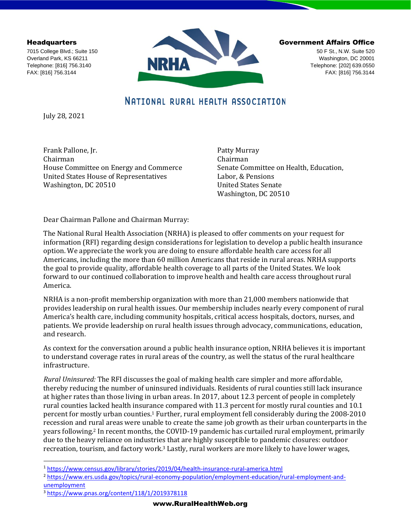**Headquarters** 

7015 College Blvd.; Suite 150 Overland Park, KS 66211 Telephone: [816] 756.3140 FAX: [816] 756.3144



Government Affairs Office

50 F St., N.W. Suite 520 Washington, DC 20001 Telephone: [202] 639.0550 FAX: [816] 756.3144

# NATIONAL RURAL HEALTH ASSOCIATION

July 28, 2021

Frank Pallone, Jr. Chairman House Committee on Energy and Commerce United States House of Representatives Washington, DC 20510

Patty Murray Chairman Senate Committee on Health, Education, Labor, & Pensions United States Senate Washington, DC 20510

Dear Chairman Pallone and Chairman Murray:

The National Rural Health Association (NRHA) is pleased to offer comments on your request for information (RFI) regarding design considerations for legislation to develop a public health insurance option. We appreciate the work you are doing to ensure affordable health care access for all Americans, including the more than 60 million Americans that reside in rural areas. NRHA supports the goal to provide quality, affordable health coverage to all parts of the United States. We look forward to our continued collaboration to improve health and health care access throughout rural America.

NRHA is a non-profit membership organization with more than 21,000 members nationwide that provides leadership on rural health issues. Our membership includes nearly every component of rural America's health care, including community hospitals, critical access hospitals, doctors, nurses, and patients. We provide leadership on rural health issues through advocacy, communications, education, and research.

As context for the conversation around a public health insurance option, NRHA believes it is important to understand coverage rates in rural areas of the country, as well the status of the rural healthcare infrastructure.

*Rural Uninsured:* The RFI discusses the goal of making health care simpler and more affordable, thereby reducing the number of uninsured individuals. Residents of rural counties still lack insurance at higher rates than those living in urban areas. In 2017, about 12.3 percent of people in completely rural counties lacked health insurance compared with 11.3 percent for mostly rural counties and 10.1 percent for mostly urban counties.<sup>1</sup> Further, rural employment fell considerably during the 2008-2010 recession and rural areas were unable to create the same job growth as their urban counterparts in the years following.<sup>2</sup> In recent months, the COVID-19 pandemic has curtailed rural employment, primarily due to the heavy reliance on industries that are highly susceptible to pandemic closures: outdoor recreation, tourism, and factory work.<sup>3</sup> Lastly, rural workers are more likely to have lower wages,

<sup>1</sup> <https://www.census.gov/library/stories/2019/04/health-insurance-rural-america.html>

<sup>&</sup>lt;sup>2</sup> [https://www.ers.usda.gov/topics/rural-economy-population/employment-education/rural-employment-and](https://www.ers.usda.gov/topics/rural-economy-population/employment-education/rural-employment-and-unemployment)[unemployment](https://www.ers.usda.gov/topics/rural-economy-population/employment-education/rural-employment-and-unemployment)

<sup>3</sup> <https://www.pnas.org/content/118/1/2019378118>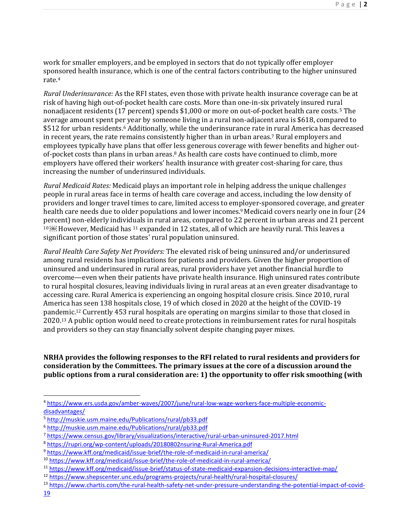work for smaller employers, and be employed in sectors that do not typically offer employer sponsored health insurance, which is one of the central factors contributing to the higher uninsured rate.<sup>4</sup>

*Rural Underinsurance:* As the RFI states, even those with private health insurance coverage can be at risk of having high out-of-pocket health care costs. More than one-in-six privately insured rural nonadjacent residents (17 percent) spends \$1,000 or more on out-of-pocket health care costs. <sup>5</sup> The average amount spent per year by someone living in a rural non-adjacent area is \$618, compared to \$512 for urban residents.<sup>6</sup> Additionally, while the underinsurance rate in rural America has decreased in recent years, the rate remains consistently higher than in urban areas. <sup>7</sup> Rural employers and employees typically have plans that offer less generous coverage with fewer benefits and higher outof-pocket costs than plans in urban areas.<sup>8</sup> As health care costs have continued to climb, more employers have offered their workers' health insurance with greater cost-sharing for care, thus increasing the number of underinsured individuals.

*Rural Medicaid Rates:* Medicaid plays an important role in helping address the unique challenge*s*  people in rural areas face in terms of health care coverage and access, including the low density of providers and longer travel times to care, limited access to employer-sponsored coverage, and greater health care needs due to older populations and lower incomes. <sup>9</sup> Medicaid covers nearly one in four (24 percent) non-elderly individuals in rural areas, compared to 22 percent in urban areas and 21 percent 10 [6]] However, Medicaid has <sup>11</sup> expanded in 12 states, all of which are heavily rural. This leaves a significant portion of those states' rural population uninsured.

*Rural Health Care Safety Net Providers:* The elevated risk of being uninsured and/or underinsured among rural residents has implications for patients and providers. Given the higher proportion of uninsured and underinsured in rural areas, rural providers have yet another financial hurdle to overcome—even when their patients have private health insurance. High uninsured rates contribute to rural hospital closures, leaving individuals living in rural areas at an even greater disadvantage to accessing care. Rural America is experiencing an ongoing hospital closure crisis. Since 2010, rural America has seen 138 hospitals close, 19 of which closed in 2020 at the height of the COVID-19 pandemic.<sup>12</sup> Currently 453 rural hospitals are operating on margins similar to those that closed in 2020.<sup>13</sup> A public option would need to create protections in reimbursement rates for rural hospitals and providers so they can stay financially solvent despite changing payer mixes.

#### **NRHA provides the following responses to the RFI related to rural residents and providers for consideration by the Committees. The primary issues at the core of a discussion around the public options from a rural consideration are: 1) the opportunity to offer risk smoothing (with**

<sup>4</sup> [https://www.ers.usda.gov/amber-waves/2007/june/rural-low-wage-workers-face-multiple-economic](https://www.ers.usda.gov/amber-waves/2007/june/rural-low-wage-workers-face-multiple-economic-disadvantages/)[disadvantages/](https://www.ers.usda.gov/amber-waves/2007/june/rural-low-wage-workers-face-multiple-economic-disadvantages/)

<sup>&</sup>lt;sup>5</sup> <http://muskie.usm.maine.edu/Publications/rural/pb33.pdf>

<sup>6</sup> <http://muskie.usm.maine.edu/Publications/rural/pb33.pdf>

<sup>7</sup> <https://www.census.gov/library/visualizations/interactive/rural-urban-uninsured-2017.html>

<sup>8</sup> <https://rupri.org/wp-content/uploads/20180802nsuring-Rural-America.pdf>

<sup>9</sup> <https://www.kff.org/medicaid/issue-brief/the-role-of-medicaid-in-rural-america/>

<sup>10</sup> <https://www.kff.org/medicaid/issue-brief/the-role-of-medicaid-in-rural-america/>

<sup>11</sup> <https://www.kff.org/medicaid/issue-brief/status-of-state-medicaid-expansion-decisions-interactive-map/>

<sup>12</sup> <https://www.shepscenter.unc.edu/programs-projects/rural-health/rural-hospital-closures/>

<sup>13</sup> [https://www.chartis.com/the-rural-health-safety-net-under-pressure-understanding-the-potential-impact-of-covid-](https://www.chartis.com/the-rural-health-safety-net-under-pressure-understanding-the-potential-impact-of-covid-19)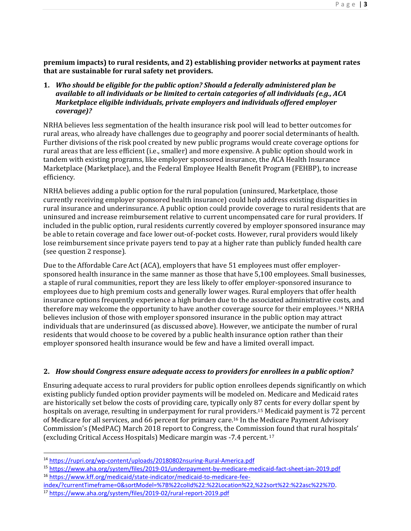**premium impacts) to rural residents, and 2) establishing provider networks at payment rates that are sustainable for rural safety net providers.**

**1.** *Who should be eligible for the public option? Should a federally administered plan be available to all individuals or be limited to certain categories of all individuals (e.g., ACA Marketplace eligible individuals, private employers and individuals offered employer coverage)?*

NRHA believes less segmentation of the health insurance risk pool will lead to better outcomes for rural areas, who already have challenges due to geography and poorer social determinants of health. Further divisions of the risk pool created by new public programs would create coverage options for rural areas that are less efficient (i.e., smaller) and more expensive. A public option should work in tandem with existing programs, like employer sponsored insurance, the ACA Health Insurance Marketplace (Marketplace), and the Federal Employee Health Benefit Program (FEHBP), to increase efficiency.

NRHA believes adding a public option for the rural population (uninsured, Marketplace, those currently receiving employer sponsored health insurance) could help address existing disparities in rural insurance and underinsurance. A public option could provide coverage to rural residents that are uninsured and increase reimbursement relative to current uncompensated care for rural providers. If included in the public option, rural residents currently covered by employer sponsored insurance may be able to retain coverage and face lower out-of-pocket costs. However, rural providers would likely lose reimbursement since private payers tend to pay at a higher rate than publicly funded health care (see question 2 response).

Due to the Affordable Care Act (ACA), employers that have 51 employees must offer employersponsored health insurance in the same manner as those that have 5,100 employees. Small businesses, a staple of rural communities, report they are less likely to offer employer-sponsored insurance to employees due to high premium costs and generally lower wages. Rural employers that offer health insurance options frequently experience a high burden due to the associated administrative costs, and therefore may welcome the opportunity to have another coverage source for their employees.<sup>14</sup> NRHA believes inclusion of those with employer sponsored insurance in the public option may attract individuals that are underinsured (as discussed above). However, we anticipate the number of rural residents that would choose to be covered by a public health insurance option rather than their employer sponsored health insurance would be few and have a limited overall impact.

## **2.** *How should Congress ensure adequate access to providers for enrollees in a public option?*

Ensuring adequate access to rural providers for public option enrollees depends significantly on which existing publicly funded option provider payments will be modeled on. Medicare and Medicaid rates are historically set below the costs of providing care, typically only 87 cents for every dollar spent by hospitals on average, resulting in underpayment for rural providers.<sup>15</sup> Medicaid payment is 72 percent of Medicare for all services, and 66 percent for primary care.<sup>16</sup> In the Medicare Payment Advisory Commission's (MedPAC) March 2018 report to Congress, the Commission found that rural hospitals' (excluding Critical Access Hospitals) Medicare margin was -7.4 percent. <sup>17</sup>

<sup>14</sup> <https://rupri.org/wp-content/uploads/20180802nsuring-Rural-America.pdf>

<sup>15</sup> <https://www.aha.org/system/files/2019-01/underpayment-by-medicare-medicaid-fact-sheet-jan-2019.pdf> <sup>16</sup> [https://www.kff.org/medicaid/state-indicator/medicaid-to-medicare-fee-](https://www.kff.org/medicaid/state-indicator/medicaid-to-medicare-fee-index/?currentTimeframe=0&sortModel=%7B%22colId%22:%22Location%22,%22sort%22:%22asc%22%7D)

[index/?currentTimeframe=0&sortModel=%7B%22colId%22:%22Location%22,%22sort%22:%22asc%22%7D.](https://www.kff.org/medicaid/state-indicator/medicaid-to-medicare-fee-index/?currentTimeframe=0&sortModel=%7B%22colId%22:%22Location%22,%22sort%22:%22asc%22%7D)

<sup>17</sup> <https://www.aha.org/system/files/2019-02/rural-report-2019.pdf>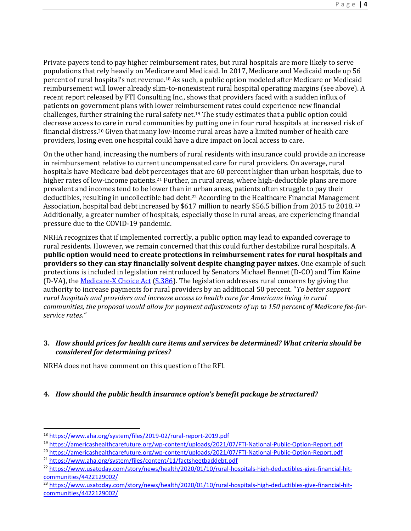Private payers tend to pay higher reimbursement rates, but rural hospitals are more likely to serve populations that rely heavily on Medicare and Medicaid. In 2017, Medicare and Medicaid made up 56 percent of rural hospital's net revenue.<sup>18</sup> As such, a public option modeled after Medicare or Medicaid reimbursement will lower already slim-to-nonexistent rural hospital operating margins (see above). A recent report released by FTI Consulting Inc., shows that providers faced with a sudden influx of patients on government plans with lower reimbursement rates could experience new financial challenges, further straining the rural safety net.<sup>19</sup> The study estimates that a public option could decrease access to care in rural communities by putting one in four rural hospitals at increased risk of financial distress.<sup>20</sup> Given that many low-income rural areas have a limited number of health care providers, losing even one hospital could have a dire impact on local access to care.

On the other hand, increasing the numbers of rural residents with insurance could provide an increase in reimbursement relative to current uncompensated care for rural providers. On average, rural hospitals have Medicare bad debt percentages that are 60 percent higher than urban hospitals, due to higher rates of low-income patients.<sup>21</sup> Further, in rural areas, where high-deductible plans are more prevalent and incomes tend to be lower than in urban areas, patients often struggle to pay their deductibles, resulting in uncollectible bad debt.<sup>22</sup> According to the Healthcare Financial Management Association, hospital bad debt increased by \$617 million to nearly \$56.5 billion from 2015 to 2018. <sup>23</sup> Additionally, a greater number of hospitals, especially those in rural areas, are experiencing financial pressure due to the COVID-19 pandemic.

NRHA recognizes that if implemented correctly, a public option may lead to expanded coverage to rural residents. However, we remain concerned that this could further destabilize rural hospitals. **A public option would need to create protections in reimbursement rates for rural hospitals and providers so they can stay financially solvent despite changing payer mixes.** One example of such protections is included in legislation reintroduced by Senators Michael Bennet (D-CO) and Tim Kaine (D-VA), the [Medicare-X Choice Act](https://www.bennet.senate.gov/public/index.cfm/2021/2/bennet-kaine-announce-introduction-of-medicare-x-choice-act-to-achieve-universal-health-care) [\(S.386\)](https://www.congress.gov/bill/117th-congress/senate-bill/386). The legislation addresses rural concerns by giving the authority to increase payments for rural providers by an additional 50 percent. "*To better support rural hospitals and providers and increase access to health care for Americans living in rural communities, the proposal would allow for payment adjustments of up to 150 percent of Medicare fee-forservice rates."*

## **3.** *How should prices for health care items and services be determined? What criteria should be considered for determining prices?*

NRHA does not have comment on this question of the RFI.

## **4.** *How should the public health insurance option's benefit package be structured?*

<sup>18</sup> <https://www.aha.org/system/files/2019-02/rural-report-2019.pdf>

<sup>19</sup> <https://americashealthcarefuture.org/wp-content/uploads/2021/07/FTI-National-Public-Option-Report.pdf>

<sup>20</sup> <https://americashealthcarefuture.org/wp-content/uploads/2021/07/FTI-National-Public-Option-Report.pdf>

<sup>&</sup>lt;sup>21</sup> <https://www.aha.org/system/files/content/11/factsheetbaddebt.pdf>

<sup>&</sup>lt;sup>22</sup> [https://www.usatoday.com/story/news/health/2020/01/10/rural-hospitals-high-deductibles-give-financial-hit](https://www.usatoday.com/story/news/health/2020/01/10/rural-hospitals-high-deductibles-give-financial-hit-communities/4422129002/)[communities/4422129002/](https://www.usatoday.com/story/news/health/2020/01/10/rural-hospitals-high-deductibles-give-financial-hit-communities/4422129002/)

<sup>&</sup>lt;sup>23</sup> [https://www.usatoday.com/story/news/health/2020/01/10/rural-hospitals-high-deductibles-give-financial-hit](https://www.usatoday.com/story/news/health/2020/01/10/rural-hospitals-high-deductibles-give-financial-hit-communities/4422129002/)[communities/4422129002/](https://www.usatoday.com/story/news/health/2020/01/10/rural-hospitals-high-deductibles-give-financial-hit-communities/4422129002/)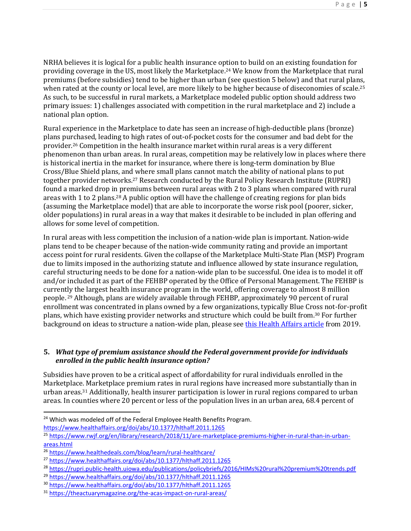NRHA believes it is logical for a public health insurance option to build on an existing foundation for providing coverage in the US, most likely the Marketplace.<sup>24</sup> We know from the Marketplace that rural premiums (before subsidies) tend to be higher than urban (see question 5 below) and that rural plans, when rated at the county or local level, are more likely to be higher because of diseconomies of scale.<sup>25</sup> As such, to be successful in rural markets, a Marketplace modeled public option should address two primary issues: 1) challenges associated with competition in the rural marketplace and 2) include a national plan option.

Rural experience in the Marketplace to date has seen an increase of high-deductible plans (bronze) plans purchased, leading to high rates of out-of-pocket costs for the consumer and bad debt for the provider.<sup>26</sup> Competition in the health insurance market within rural areas is a very different phenomenon than urban areas. In rural areas, competition may be relatively low in places where there is historical inertia in the market for insurance, where there is long-term domination by Blue Cross/Blue Shield plans, and where small plans cannot match the ability of national plans to put together provider networks.<sup>27</sup> Research conducted by the Rural Policy Research Institute (RUPRI) found a marked drop in premiums between rural areas with 2 to 3 plans when compared with rural areas with 1 to 2 plans.<sup>28</sup> A public option will have the challenge of creating regions for plan bids (assuming the Marketplace model) that are able to incorporate the worse risk pool (poorer, sicker, older populations) in rural areas in a way that makes it desirable to be included in plan offering and allows for some level of competition.

In rural areas with less competition the inclusion of a nation-wide plan is important. Nation-wide plans tend to be cheaper because of the nation-wide community rating and provide an important access point for rural residents. Given the collapse of the Marketplace Multi-State Plan (MSP) Program due to limits imposed in the authorizing statute and influence allowed by state insurance regulation, careful structuring needs to be done for a nation-wide plan to be successful. One idea is to model it off and/or included it as part of the FEHBP operated by the Office of Personal Management. The FEHBP is currently the largest health insurance program in the world, offering coverage to almost 8 million people. <sup>29</sup> Although, plans are widely available through FEHBP, approximately 90 percent of rural enrollment was concentrated in plans owned by a few organizations, typically Blue Cross not-for-profit plans, which have existing provider networks and structure which could be built from.<sup>30</sup> For further background on ideas to structure a nation-wide plan, please se[e this Health Affairs article](https://www.healthaffairs.org/do/10.1377/hblog20190927.150599/full/) from 2019.

## **5.** *What type of premium assistance should the Federal government provide for individuals enrolled in the public health insurance option?*

Subsidies have proven to be a critical aspect of affordability for rural individuals enrolled in the Marketplace. Marketplace premium rates in rural regions have increased more substantially than in urban areas.<sup>31</sup> Additionally, health insurer participation is lower in rural regions compared to urban areas. In counties where 20 percent or less of the population lives in an urban area, 68.4 percent of

<sup>&</sup>lt;sup>24</sup> Which was modeled off of the Federal Employee Health Benefits Program. <https://www.healthaffairs.org/doi/abs/10.1377/hlthaff.2011.1265>

<sup>25</sup> [https://www.rwjf.org/en/library/research/2018/11/are-marketplace-premiums-higher-in-rural-than-in-urban](https://www.rwjf.org/en/library/research/2018/11/are-marketplace-premiums-higher-in-rural-than-in-urban-areas.html)[areas.html](https://www.rwjf.org/en/library/research/2018/11/are-marketplace-premiums-higher-in-rural-than-in-urban-areas.html)

<sup>&</sup>lt;sup>26</sup> <https://www.healthedeals.com/blog/learn/rural-healthcare/>

<sup>27</sup> <https://www.healthaffairs.org/doi/abs/10.1377/hlthaff.2011.1265>

<sup>28</sup> <https://rupri.public-health.uiowa.edu/publications/policybriefs/2016/HIMs%20rural%20premium%20trends.pdf>

<sup>&</sup>lt;sup>29</sup> <https://www.healthaffairs.org/doi/abs/10.1377/hlthaff.2011.1265>

<sup>30</sup> <https://www.healthaffairs.org/doi/abs/10.1377/hlthaff.2011.1265>

<sup>31</sup> <https://theactuarymagazine.org/the-acas-impact-on-rural-areas/>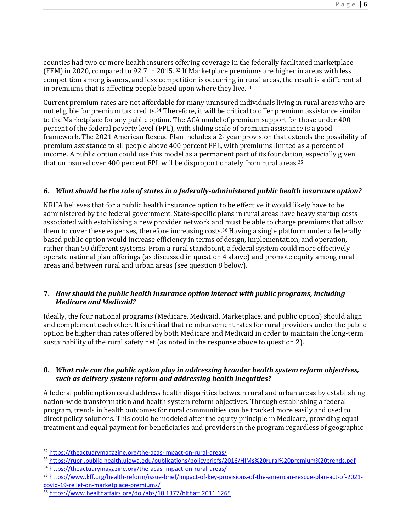counties had two or more health insurers offering coverage in the federally facilitated marketplace (FFM) in 2020, compared to 92.7 in 2015. <sup>32</sup> If Marketplace premiums are higher in areas with less competition among issuers, and less competition is occurring in rural areas, the result is a differential in premiums that is affecting people based upon where they live.<sup>33</sup>

Current premium rates are not affordable for many uninsured individuals living in rural areas who are not eligible for premium tax credits.<sup>34</sup> Therefore, it will be critical to offer premium assistance similar to the Marketplace for any public option. The ACA model of premium support for those under 400 percent of the federal poverty level (FPL), with sliding scale of premium assistance is a good framework. The 2021 American Rescue Plan includes a 2- year provision that extends the possibility of premium assistance to all people above 400 percent FPL, with premiums limited as a percent of income. A public option could use this model as a permanent part of its foundation, especially given that uninsured over 400 percent FPL will be disproportionately from rural areas.<sup>35</sup>

## **6.** *What should be the role of states in a federally-administered public health insurance option?*

NRHA believes that for a public health insurance option to be effective it would likely have to be administered by the federal government. State-specific plans in rural areas have heavy startup costs associated with establishing a new provider network and must be able to charge premiums that allow them to cover these expenses, therefore increasing costs.<sup>36</sup> Having a single platform under a federally based public option would increase efficiency in terms of design, implementation, and operation, rather than 50 different systems. From a rural standpoint, a federal system could more effectively operate national plan offerings (as discussed in question 4 above) and promote equity among rural areas and between rural and urban areas (see question 8 below).

## **7.** *How should the public health insurance option interact with public programs, including Medicare and Medicaid?*

Ideally, the four national programs (Medicare, Medicaid, Marketplace, and public option) should align and complement each other. It is critical that reimbursement rates for rural providers under the public option be higher than rates offered by both Medicare and Medicaid in order to maintain the long-term sustainability of the rural safety net (as noted in the response above to question 2).

## **8.** *What role can the public option play in addressing broader health system reform objectives, such as delivery system reform and addressing health inequities?*

A federal public option could address health disparities between rural and urban areas by establishing nation-wide transformation and health system reform objectives. Through establishing a federal program, trends in health outcomes for rural communities can be tracked more easily and used to direct policy solutions. This could be modeled after the equity principle in Medicare, providing equal treatment and equal payment for beneficiaries and providers in the program regardless of geographic

<sup>33</sup> <https://rupri.public-health.uiowa.edu/publications/policybriefs/2016/HIMs%20rural%20premium%20trends.pdf>

<sup>32</sup> <https://theactuarymagazine.org/the-acas-impact-on-rural-areas/>

<sup>34</sup> <https://theactuarymagazine.org/the-acas-impact-on-rural-areas/>

<sup>&</sup>lt;sup>35</sup> [https://www.kff.org/health-reform/issue-brief/impact-of-key-provisions-of-the-american-rescue-plan-act-of-2021](https://www.kff.org/health-reform/issue-brief/impact-of-key-provisions-of-the-american-rescue-plan-act-of-2021-covid-19-relief-on-marketplace-premiums/) [covid-19-relief-on-marketplace-premiums/](https://www.kff.org/health-reform/issue-brief/impact-of-key-provisions-of-the-american-rescue-plan-act-of-2021-covid-19-relief-on-marketplace-premiums/)

<sup>36</sup> <https://www.healthaffairs.org/doi/abs/10.1377/hlthaff.2011.1265>